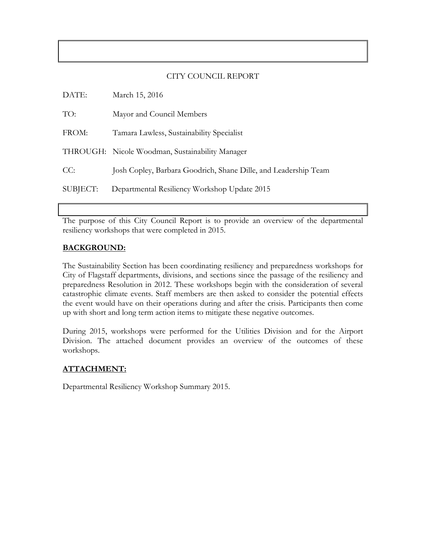# CITY COUNCIL REPORT

| DATE:    | March 15, 2016                                                  |
|----------|-----------------------------------------------------------------|
| TO:      | Mayor and Council Members                                       |
| FROM:    | Tamara Lawless, Sustainability Specialist                       |
|          | THROUGH: Nicole Woodman, Sustainability Manager                 |
| CC:      | Josh Copley, Barbara Goodrich, Shane Dille, and Leadership Team |
| SUBJECT: | Departmental Resiliency Workshop Update 2015                    |

The purpose of this City Council Report is to provide an overview of the departmental resiliency workshops that were completed in 2015.

# **BACKGROUND:**

The Sustainability Section has been coordinating resiliency and preparedness workshops for City of Flagstaff departments, divisions, and sections since the passage of the resiliency and preparedness Resolution in 2012. These workshops begin with the consideration of several catastrophic climate events. Staff members are then asked to consider the potential effects the event would have on their operations during and after the crisis. Participants then come up with short and long term action items to mitigate these negative outcomes.

During 2015, workshops were performed for the Utilities Division and for the Airport Division. The attached document provides an overview of the outcomes of these workshops.

### **ATTACHMENT:**

Departmental Resiliency Workshop Summary 2015.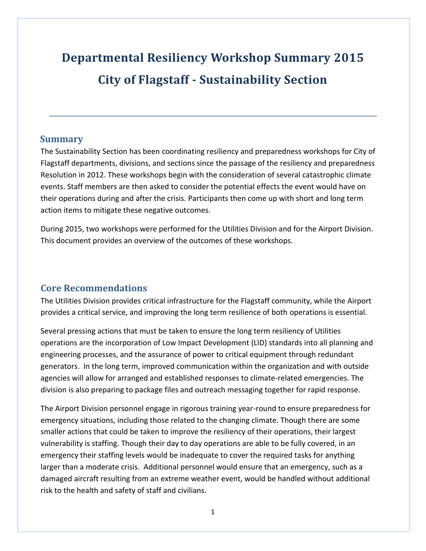# **Departmental Resiliency Workshop Summary 2015 City of Flagstaff - Sustainability Section**

# **Summary**

The Sustainability Section has been coordinating resiliency and preparedness workshops for City of Flagstaff departments, divisions, and sections since the passage of the resiliency and preparedness Resolution in 2012. These workshops begin with the consideration of several catastrophic climate events. Staff members are then asked to consider the potential effects the event would have on their operations during and after the crisis. Participants then come up with short and long term action items to mitigate these negative outcomes.

During 2015, two workshops were performed for the Utilities Division and for the Airport Division. This document provides an overview of the outcomes of these workshops.

# **Core Recommendations**

The Utilities Division provides critical infrastructure for the Flagstaff community, while the Airport provides a critical service, and improving the long term resilience of both operations is essential.

Several pressing actions that must be taken to ensure the long term resiliency of Utilities operations are the incorporation of Low Impact Development (LID) standards into all planning and engineering processes, and the assurance of power to critical equipment through redundant generators. In the long term, improved communication within the organization and with outside agencies will allow for arranged and established responses to climate-related emergencies. The division is also preparing to package files and outreach messaging together for rapid response.

The Airport Division personnel engage in rigorous training year-round to ensure preparedness for emergency situations, including those related to the changing climate. Though there are some smaller actions that could be taken to improve the resiliency of their operations, their largest vulnerability is staffing. Though their day to day operations are able to be fully covered, in an emergency their staffing levels would be inadequate to cover the required tasks for anything larger than a moderate crisis. Additional personnel would ensure that an emergency, such as a damaged aircraft resulting from an extreme weather event, would be handled without additional risk to the health and safety of staff and civilians.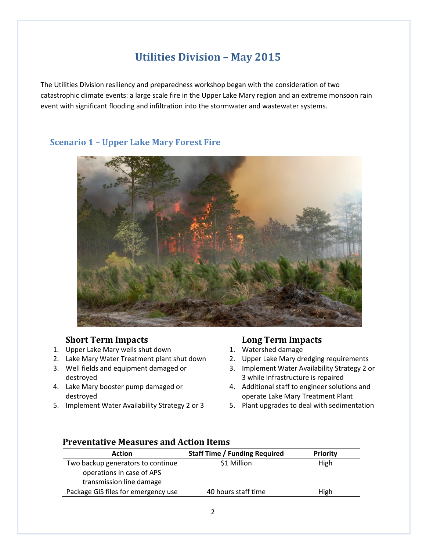# **Utilities Division – May 2015**

The Utilities Division resiliency and preparedness workshop began with the consideration of two catastrophic climate events: a large scale fire in the Upper Lake Mary region and an extreme monsoon rain event with significant flooding and infiltration into the stormwater and wastewater systems.

# **Scenario 1 – Upper Lake Mary Forest Fire**



# **Short Term Impacts**

- 1. Upper Lake Mary wells shut down
- 2. Lake Mary Water Treatment plant shut down
- 3. Well fields and equipment damaged or destroyed
- 4. Lake Mary booster pump damaged or destroyed
- 5. Implement Water Availability Strategy 2 or 3

# **Long Term Impacts**

- 1. Watershed damage
- 2. Upper Lake Mary dredging requirements
- 3. Implement Water Availability Strategy 2 or 3 while infrastructure is repaired
- 4. Additional staff to engineer solutions and operate Lake Mary Treatment Plant
- 5. Plant upgrades to deal with sedimentation

| <b>Action</b>                       | <b>Staff Time / Funding Required</b> | <b>Priority</b> |
|-------------------------------------|--------------------------------------|-----------------|
| Two backup generators to continue   | \$1 Million                          | High            |
| operations in case of APS           |                                      |                 |
| transmission line damage            |                                      |                 |
| Package GIS files for emergency use | 40 hours staff time                  | High            |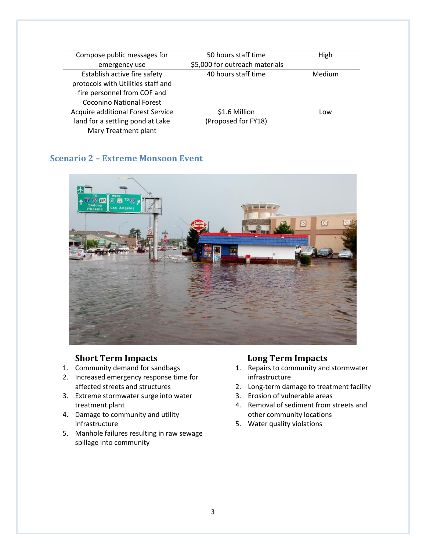| Compose public messages for        | 50 hours staff time            | High   |
|------------------------------------|--------------------------------|--------|
| emergency use                      | \$5,000 for outreach materials |        |
| Establish active fire safety       | 40 hours staff time            | Medium |
| protocols with Utilities staff and |                                |        |
| fire personnel from COF and        |                                |        |
| <b>Coconino National Forest</b>    |                                |        |
| Acquire additional Forest Service  | \$1.6 Million                  | Low    |
| land for a settling pond at Lake   | (Proposed for FY18)            |        |
| Mary Treatment plant               |                                |        |

# **Scenario 2 – Extreme Monsoon Event**



# **Short Term Impacts**

- 1. Community demand for sandbags
- 2. Increased emergency response time for affected streets and structures
- 3. Extreme stormwater surge into water treatment plant
- 4. Damage to community and utility infrastructure
- 5. Manhole failures resulting in raw sewage spillage into community

# **Long Term Impacts**

- 1. Repairs to community and stormwater infrastructure
- 2. Long-term damage to treatment facility
- 3. Erosion of vulnerable areas
- 4. Removal of sediment from streets and other community locations
- 5. Water quality violations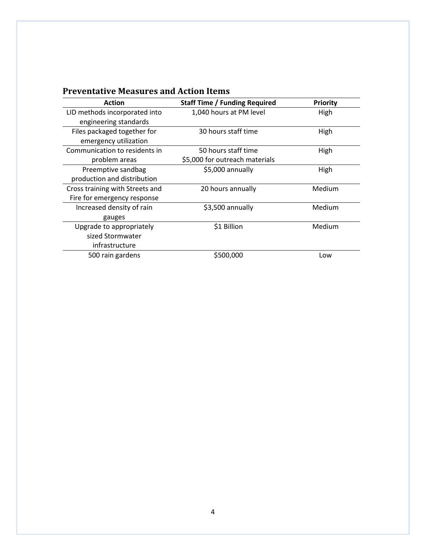| <b>Action</b>                   | <b>Staff Time / Funding Required</b> | <b>Priority</b> |
|---------------------------------|--------------------------------------|-----------------|
| LID methods incorporated into   | 1,040 hours at PM level              | High            |
| engineering standards           |                                      |                 |
| Files packaged together for     | 30 hours staff time                  | High            |
| emergency utilization           |                                      |                 |
| Communication to residents in   | 50 hours staff time                  | High            |
| problem areas                   | \$5,000 for outreach materials       |                 |
| Preemptive sandbag              | \$5,000 annually                     | High            |
| production and distribution     |                                      |                 |
| Cross training with Streets and | 20 hours annually                    | Medium          |
| Fire for emergency response     |                                      |                 |
| Increased density of rain       | \$3,500 annually                     | Medium          |
| gauges                          |                                      |                 |
| Upgrade to appropriately        | \$1 Billion                          | Medium          |
| sized Stormwater                |                                      |                 |
| infrastructure                  |                                      |                 |
| 500 rain gardens                | \$500,000                            | Low             |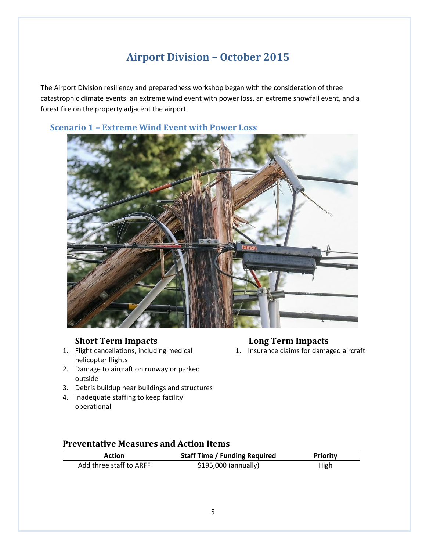# **Airport Division – October 2015**

The Airport Division resiliency and preparedness workshop began with the consideration of three catastrophic climate events: an extreme wind event with power loss, an extreme snowfall event, and a forest fire on the property adjacent the airport.

# **Scenario 1 – Extreme Wind Event with Power Loss**

# **Short Term Impacts**

- 1. Flight cancellations, including medical helicopter flights
- 2. Damage to aircraft on runway or parked outside

### 3. Debris buildup near buildings and structures

4. Inadequate staffing to keep facility operational

# **Long Term Impacts**

1. Insurance claims for damaged aircraft

| Action                  | <b>Staff Time / Funding Required</b> | <b>Priority</b> |
|-------------------------|--------------------------------------|-----------------|
| Add three staff to ARFF | \$195,000 (annually)                 | High            |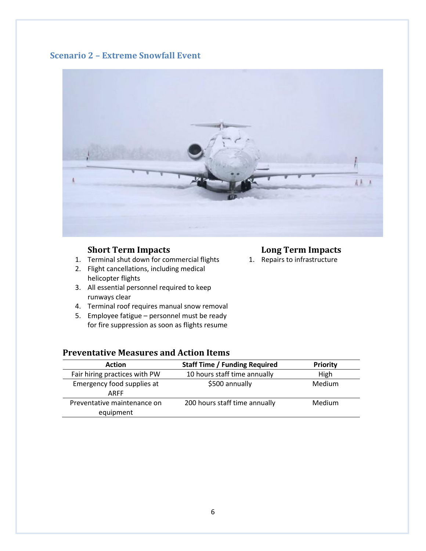# **Scenario 2 – Extreme Snowfall Event**



# **Short Term Impacts**

- 1. Terminal shut down for commercial flights
- 2. Flight cancellations, including medical helicopter flights
- 3. All essential personnel required to keep runways clear
- 4. Terminal roof requires manual snow removal
- 5. Employee fatigue personnel must be ready for fire suppression as soon as flights resume

# **Long Term Impacts**

1. Repairs to infrastructure

| <b>Action</b>                 | <b>Staff Time / Funding Required</b> | <b>Priority</b> |
|-------------------------------|--------------------------------------|-----------------|
| Fair hiring practices with PW | 10 hours staff time annually         | High            |
| Emergency food supplies at    | \$500 annually                       | Medium          |
| ARFF                          |                                      |                 |
| Preventative maintenance on   | 200 hours staff time annually        | Medium          |
| equipment                     |                                      |                 |